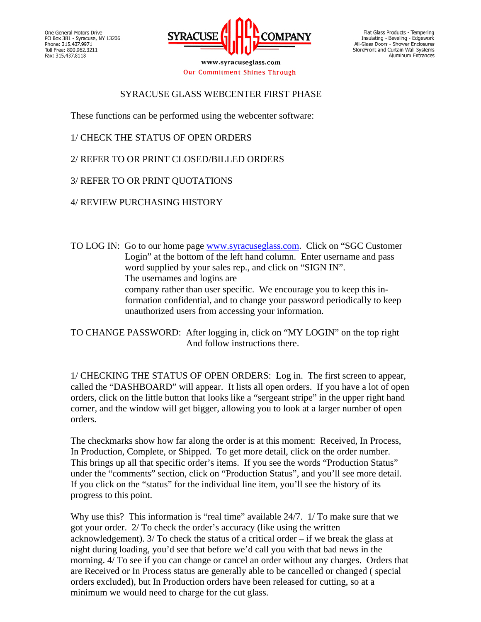

www.syracuseglass.com Our Commitment Shines Through

Flat Glass Products - Tempering Insulating - Beveling - Edgework<br>All-Glass Doors - Shower Enclosures StoreFront and Curtain Wall Systems Aluminum Entrances

## SYRACUSE GLASS WEBCENTER FIRST PHASE

These functions can be performed using the webcenter software:

- 1/ CHECK THE STATUS OF OPEN ORDERS
- 2/ REFER TO OR PRINT CLOSED/BILLED ORDERS
- 3/ REFER TO OR PRINT QUOTATIONS
- 4/ REVIEW PURCHASING HISTORY
- TO LOG IN: Go to our home page www.syracuseglass.com. Click on "SGC Customer Login" at the bottom of the left hand column. Enter username and pass word supplied by your sales rep., and click on "SIGN IN". The usernames and logins are company rather than user specific. We encourage you to keep this in formation confidential, and to change your password periodically to keep unauthorized users from accessing your information.

TO CHANGE PASSWORD: After logging in, click on "MY LOGIN" on the top right And follow instructions there.

1/ CHECKING THE STATUS OF OPEN ORDERS: Log in. The first screen to appear, called the "DASHBOARD" will appear. It lists all open orders. If you have a lot of open orders, click on the little button that looks like a "sergeant stripe" in the upper right hand corner, and the window will get bigger, allowing you to look at a larger number of open orders.

The checkmarks show how far along the order is at this moment: Received, In Process, In Production, Complete, or Shipped. To get more detail, click on the order number. This brings up all that specific order's items. If you see the words "Production Status" under the "comments" section, click on "Production Status", and you'll see more detail. If you click on the "status" for the individual line item, you'll see the history of its progress to this point.

Why use this? This information is "real time" available 24/7. 1/ To make sure that we got your order. 2/ To check the order's accuracy (like using the written acknowledgement). 3/ To check the status of a critical order – if we break the glass at night during loading, you'd see that before we'd call you with that bad news in the morning. 4/ To see if you can change or cancel an order without any charges. Orders that are Received or In Process status are generally able to be cancelled or changed ( special orders excluded), but In Production orders have been released for cutting, so at a minimum we would need to charge for the cut glass.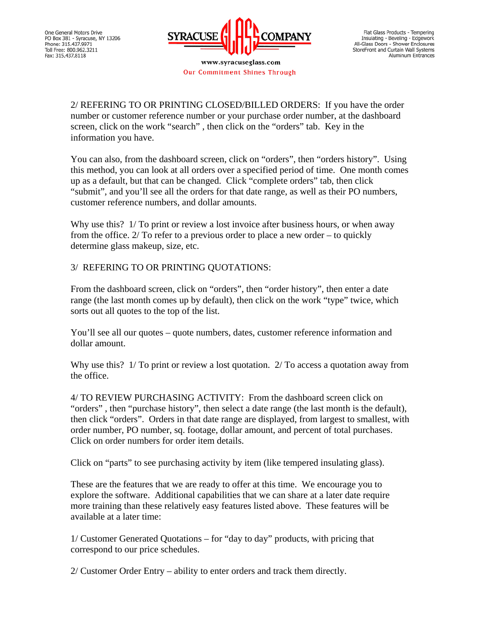

www.syracuseglass.com Our Commitment Shines Through

2/ REFERING TO OR PRINTING CLOSED/BILLED ORDERS: If you have the order number or customer reference number or your purchase order number, at the dashboard screen, click on the work "search" , then click on the "orders" tab. Key in the information you have.

You can also, from the dashboard screen, click on "orders", then "orders history". Using this method, you can look at all orders over a specified period of time. One month comes up as a default, but that can be changed. Click "complete orders" tab, then click "submit", and you'll see all the orders for that date range, as well as their PO numbers, customer reference numbers, and dollar amounts.

Why use this? 1/ To print or review a lost invoice after business hours, or when away from the office.  $2/$  To refer to a previous order to place a new order – to quickly determine glass makeup, size, etc.

## 3/ REFERING TO OR PRINTING QUOTATIONS:

From the dashboard screen, click on "orders", then "order history", then enter a date range (the last month comes up by default), then click on the work "type" twice, which sorts out all quotes to the top of the list.

You'll see all our quotes – quote numbers, dates, customer reference information and dollar amount.

Why use this? 1/ To print or review a lost quotation. 2/ To access a quotation away from the office.

4/ TO REVIEW PURCHASING ACTIVITY: From the dashboard screen click on "orders" , then "purchase history", then select a date range (the last month is the default), then click "orders". Orders in that date range are displayed, from largest to smallest, with order number, PO number, sq. footage, dollar amount, and percent of total purchases. Click on order numbers for order item details.

Click on "parts" to see purchasing activity by item (like tempered insulating glass).

These are the features that we are ready to offer at this time. We encourage you to explore the software. Additional capabilities that we can share at a later date require more training than these relatively easy features listed above. These features will be available at a later time:

1/ Customer Generated Quotations – for "day to day" products, with pricing that correspond to our price schedules.

2/ Customer Order Entry – ability to enter orders and track them directly.